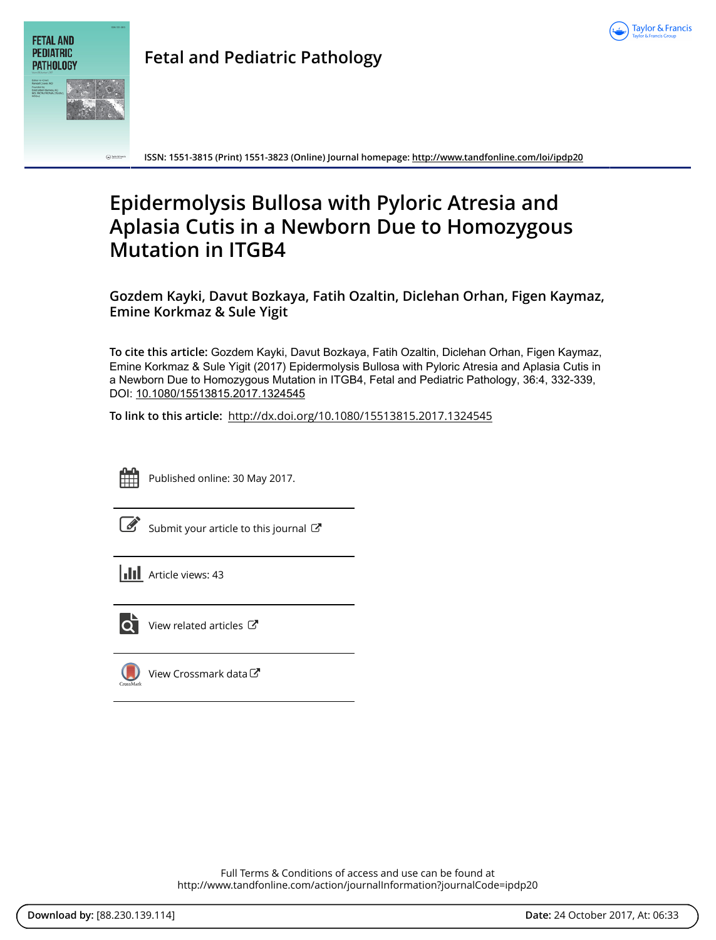



**ISSN: 1551-3815 (Print) 1551-3823 (Online) Journal homepage:<http://www.tandfonline.com/loi/ipdp20>**

# **Epidermolysis Bullosa with Pyloric Atresia and Aplasia Cutis in a Newborn Due to Homozygous Mutation in ITGB4**

**Gozdem Kayki, Davut Bozkaya, Fatih Ozaltin, Diclehan Orhan, Figen Kaymaz, Emine Korkmaz & Sule Yigit**

**To cite this article:** Gozdem Kayki, Davut Bozkaya, Fatih Ozaltin, Diclehan Orhan, Figen Kaymaz, Emine Korkmaz & Sule Yigit (2017) Epidermolysis Bullosa with Pyloric Atresia and Aplasia Cutis in a Newborn Due to Homozygous Mutation in ITGB4, Fetal and Pediatric Pathology, 36:4, 332-339, DOI: [10.1080/15513815.2017.1324545](http://www.tandfonline.com/action/showCitFormats?doi=10.1080/15513815.2017.1324545)

**To link to this article:** <http://dx.doi.org/10.1080/15513815.2017.1324545>



Published online: 30 May 2017.

[Submit your article to this journal](http://www.tandfonline.com/action/authorSubmission?journalCode=ipdp20&show=instructions)  $\mathbb{Z}$ 

**Article views: 43** 



[View related articles](http://www.tandfonline.com/doi/mlt/10.1080/15513815.2017.1324545) C

[View Crossmark data](http://crossmark.crossref.org/dialog/?doi=10.1080/15513815.2017.1324545&domain=pdf&date_stamp=2017-05-30) $\mathbb{Z}$ 

Full Terms & Conditions of access and use can be found at <http://www.tandfonline.com/action/journalInformation?journalCode=ipdp20>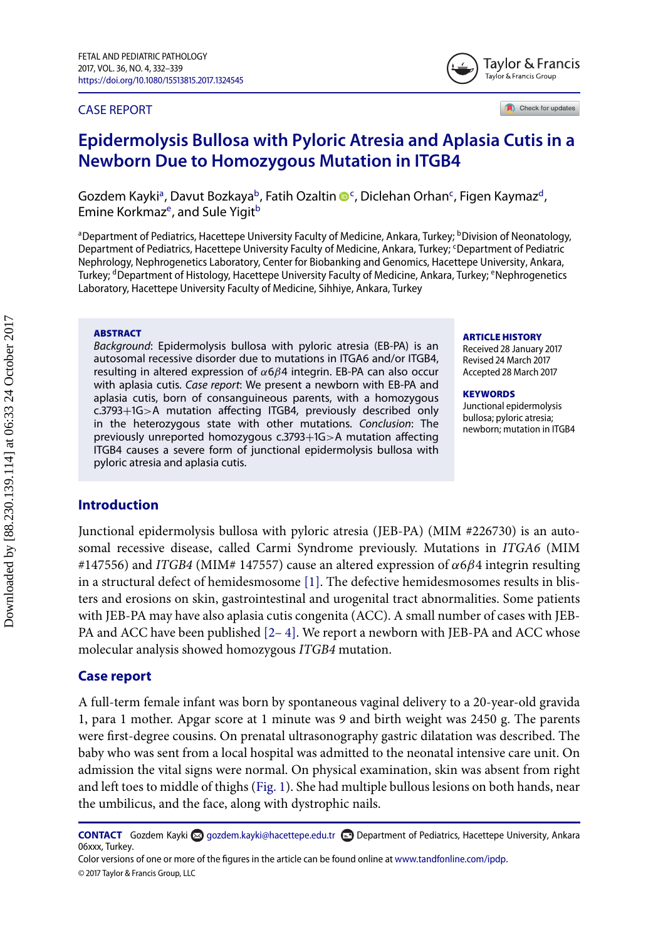#### CASE REPORT



# **Epidermolysis Bullosa with Pyloric Atresia and Aplasia Cutis in a Newborn Due to Homozygous Mutation in ITGB**

Gozdem Kayki<sup>a</sup>, Davut Bozkaya<sup>b</sup>, Fatih Ozaltin ®<sup>[c](#page-1-2)</sup>, Diclehan Orhan<sup>c</sup>, Figen Kaymaz<sup>d</sup>, Emine Korkmaz<sup>e</sup>, and Sule Yigit<sup>b</sup>

<span id="page-1-3"></span><span id="page-1-0"></span><sup>a</sup> Department of Pediatrics, Hacettepe University Faculty of Medicine, Ankara, Turkey; <sup>b</sup>Division of Neonatology, Department of Pediatrics, Hacettepe University Faculty of Medicine, Ankara, Turkey; <sup>c</sup>Department of Pediatric Nephrology, Nephrogenetics Laboratory, Center for Biobanking and Genomics, Hacettepe University, Ankara, Turkey; <sup>d</sup>Department of Histology, Hacettepe University Faculty of Medicine, Ankara, Turkey; <sup>e</sup>Nephrogenetics Laboratory, Hacettepe University Faculty of Medicine, Sihhiye, Ankara, Turkey

#### **ABSTRACT**

Background: Epidermolysis bullosa with pyloric atresia (EB-PA) is an autosomal recessive disorder due to mutations in ITGA6 and/or ITGB4, resulting in altered expression of  $\alpha$ 6 $\beta$ 4 integrin. EB-PA can also occur with aplasia cutis. Case report: We present a newborn with EB-PA and aplasia cutis, born of consanguineous parents, with a homozygous c.3793+1G>A mutation affecting ITGB4, previously described only in the heterozygous state with other mutations. Conclusion: The previously unreported homozygous c.3793+1G>A mutation affecting ITGB4 causes a severe form of junctional epidermolysis bullosa with pyloric atresia and aplasia cutis.

#### <span id="page-1-4"></span><span id="page-1-2"></span><span id="page-1-1"></span>**ARTICLE HISTORY**

Received 28 January 2017 Revised 24 March 2017 Accepted 28 March 2017

**KEYWORDS** Junctional epidermolysis bullosa; pyloric atresia; newborn; mutation in ITGB

## **Introduction**

Junctional epidermolysis bullosa with pyloric atresia (JEB-PA) (MIM #226730) is an autosomal recessive disease, called Carmi Syndrome previously. Mutations in *ITGA6* (MIM  $\#147556$ ) and *ITGB4* (MIM# 147557) cause an altered expression of  $\alpha$ 6 $\beta$ 4 integrin resulting in a structural defect of hemidesmosome [\[1\].](#page-7-0) The defective hemidesmosomes results in blisters and erosions on skin, gastrointestinal and urogenital tract abnormalities. Some patients with JEB-PA may have also aplasia cutis congenita (ACC). A small number of cases with JEB-PA and ACC have been published  $[2-4]$ . We report a newborn with JEB-PA and ACC whose molecular analysis showed homozygous *ITGB4* mutation.

#### **Case report**

A full-term female infant was born by spontaneous vaginal delivery to a 20-year-old gravida 1, para 1 mother. Apgar score at 1 minute was 9 and birth weight was 2450 g. The parents were first-degree cousins. On prenatal ultrasonography gastric dilatation was described. The baby who was sent from a local hospital was admitted to the neonatal intensive care unit. On admission the vital signs were normal. On physical examination, skin was absent from right and left toes to middle of thighs [\(Fig. 1\)](#page-2-0). She had multiple bullous lesions on both hands, near the umbilicus, and the face, along with dystrophic nails.

CONTACT Gozdem Kayki a [gozdem.kayki@hacettepe.edu.tr](mailto:gozdem.kayki@hacettepe.edu.tr) **Department of Pediatrics, Hacettepe University, Ankara** 06xxx, Turkey.

Color versions of one or more of the figures in the article can be found online at [www.tandfonline.com/ipdp.](http://www.tandfonline.com/ipdp) © 2017 Taylor & Francis Group, LLC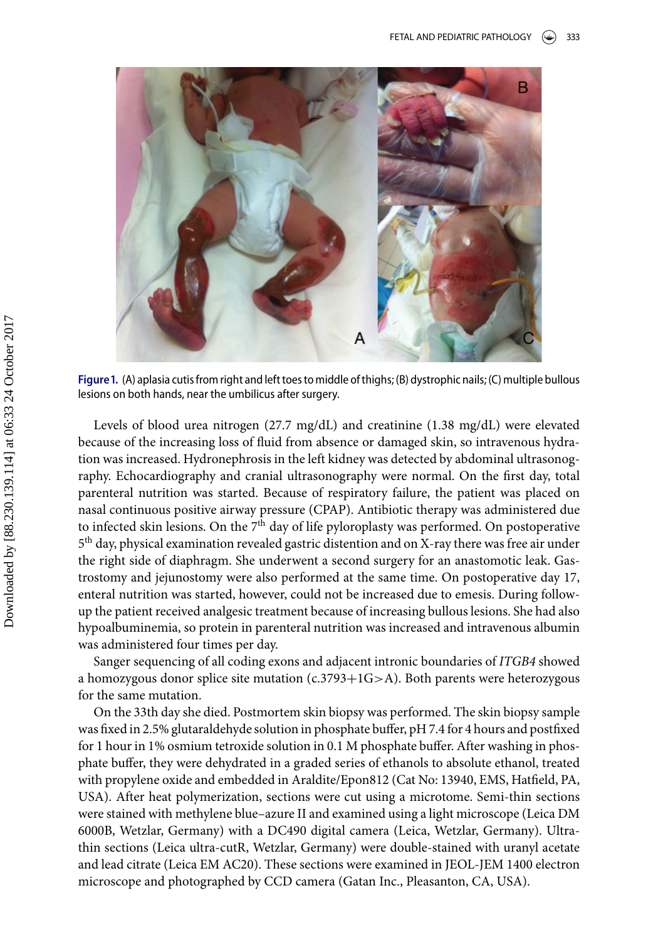<span id="page-2-0"></span>

Figure 1. (A) aplasia cutis from right and left toes to middle of thighs; (B) dystrophic nails; (C) multiple bullous lesions on both hands, near the umbilicus after surgery.

Levels of blood urea nitrogen (27.7 mg/dL) and creatinine (1.38 mg/dL) were elevated because of the increasing loss of fluid from absence or damaged skin, so intravenous hydration was increased. Hydronephrosis in the left kidney was detected by abdominal ultrasonography. Echocardiography and cranial ultrasonography were normal. On the first day, total parenteral nutrition was started. Because of respiratory failure, the patient was placed on nasal continuous positive airway pressure (CPAP). Antibiotic therapy was administered due to infected skin lesions. On the  $7<sup>th</sup>$  day of life pyloroplasty was performed. On postoperative 5<sup>th</sup> day, physical examination revealed gastric distention and on X-ray there was free air under the right side of diaphragm. She underwent a second surgery for an anastomotic leak. Gastrostomy and jejunostomy were also performed at the same time. On postoperative day 17, enteral nutrition was started, however, could not be increased due to emesis. During followup the patient received analgesic treatment because of increasing bullous lesions. She had also hypoalbuminemia, so protein in parenteral nutrition was increased and intravenous albumin was administered four times per day.

Sanger sequencing of all coding exons and adjacent intronic boundaries of *ITGB4* showed a homozygous donor splice site mutation (c.3793+1G>A). Both parents were heterozygous for the same mutation.

On the 33th day she died. Postmortem skin biopsy was performed. The skin biopsy sample was fixed in 2.5% glutaraldehyde solution in phosphate buffer, pH 7.4 for 4 hours and postfixed for 1 hour in 1% osmium tetroxide solution in 0.1 M phosphate buffer. After washing in phosphate buffer, they were dehydrated in a graded series of ethanols to absolute ethanol, treated with propylene oxide and embedded in Araldite/Epon812 (Cat No: 13940, EMS, Hatfield, PA, USA). After heat polymerization, sections were cut using a microtome. Semi-thin sections were stained with methylene blue–azure II and examined using a light microscope (Leica DM 6000B, Wetzlar, Germany) with a DC490 digital camera (Leica, Wetzlar, Germany). Ultrathin sections (Leica ultra-cutR, Wetzlar, Germany) were double-stained with uranyl acetate and lead citrate (Leica EM AC20). These sections were examined in JEOL-JEM 1400 electron microscope and photographed by CCD camera (Gatan Inc., Pleasanton, CA, USA).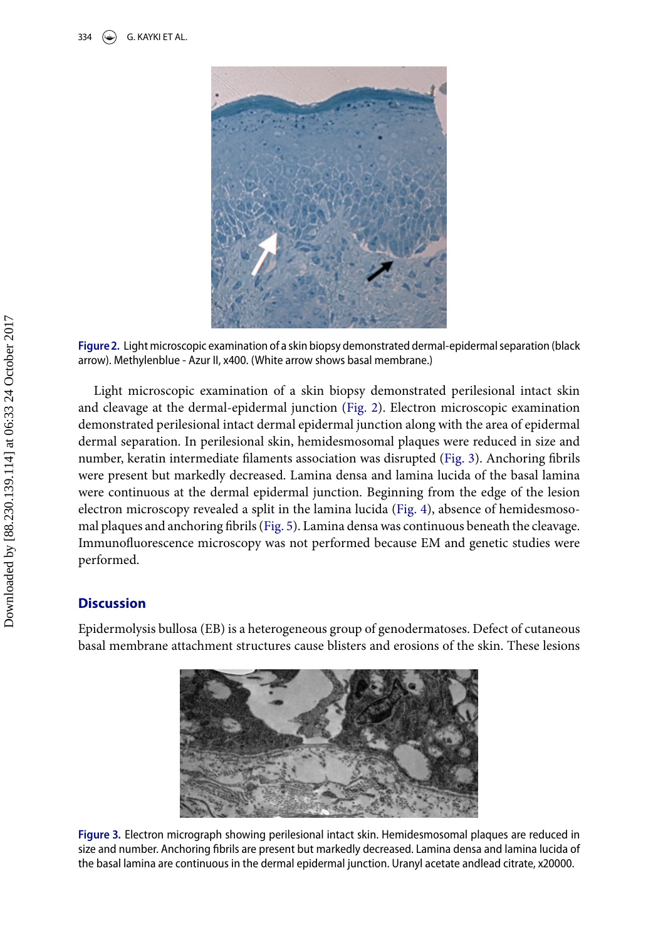<span id="page-3-0"></span>

Figure 2. Light microscopic examination of a skin biopsy demonstrated dermal-epidermal separation (black arrow). Methylenblue - Azur II, x400. (White arrow shows basal membrane.)

Light microscopic examination of a skin biopsy demonstrated perilesional intact skin and cleavage at the dermal-epidermal junction [\(Fig. 2\)](#page-3-0). Electron microscopic examination demonstrated perilesional intact dermal epidermal junction along with the area of epidermal dermal separation. In perilesional skin, hemidesmosomal plaques were reduced in size and number, keratin intermediate filaments association was disrupted [\(Fig. 3\)](#page-3-1). Anchoring fibrils were present but markedly decreased. Lamina densa and lamina lucida of the basal lamina were continuous at the dermal epidermal junction. Beginning from the edge of the lesion electron microscopy revealed a split in the lamina lucida [\(Fig. 4\)](#page-4-0), absence of hemidesmosomal plaques and anchoring fibrils [\(Fig. 5\)](#page-4-1). Lamina densa was continuous beneath the cleavage. Immunofluorescence microscopy was not performed because EM and genetic studies were performed.

### **Discussion**

<span id="page-3-1"></span>Epidermolysis bullosa (EB) is a heterogeneous group of genodermatoses. Defect of cutaneous basal membrane attachment structures cause blisters and erosions of the skin. These lesions



Figure 3. Electron micrograph showing perilesional intact skin. Hemidesmosomal plaques are reduced in size and number. Anchoring fibrils are present but markedly decreased. Lamina densa and lamina lucida of the basal lamina are continuous in the dermal epidermal junction. Uranyl acetate andlead citrate, x20000.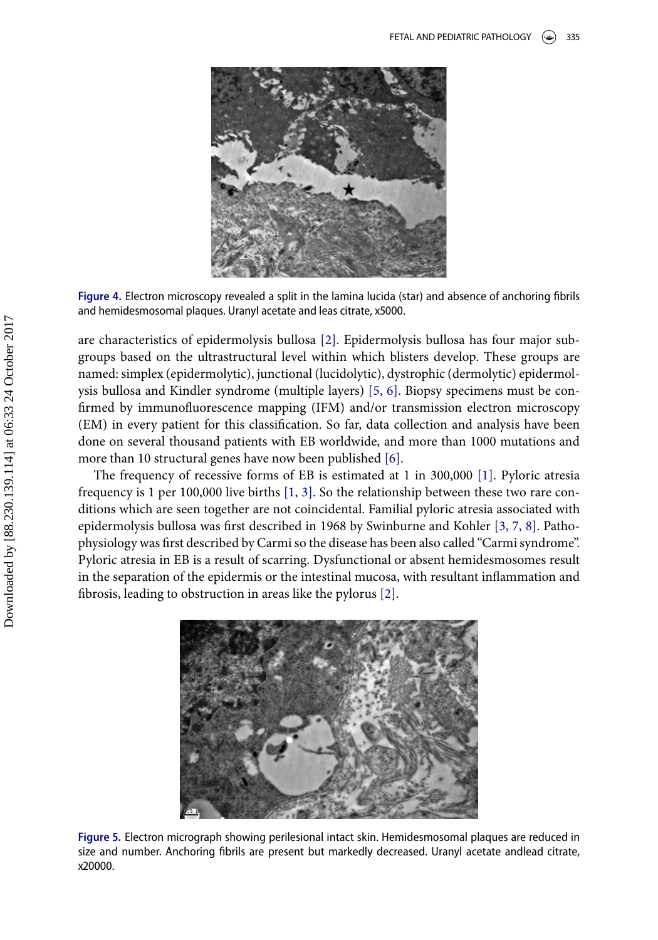<span id="page-4-0"></span>

Figure 4. Electron microscopy revealed a split in the lamina lucida (star) and absence of anchoring fibrils and hemidesmosomal plaques. Uranyl acetate and leas citrate, x5000.

are characteristics of epidermolysis bullosa [\[2\].](#page-7-1) Epidermolysis bullosa has four major subgroups based on the ultrastructural level within which blisters develop. These groups are named: simplex (epidermolytic), junctional (lucidolytic), dystrophic (dermolytic) epidermolysis bullosa and Kindler syndrome (multiple layers) [\[5, 6\].](#page-7-2) Biopsy specimens must be confirmed by immunofluorescence mapping (IFM) and/or transmission electron microscopy (EM) in every patient for this classification. So far, data collection and analysis have been done on several thousand patients with EB worldwide, and more than 1000 mutations and more than 10 structural genes have now been published [\[6\].](#page-7-3)

The frequency of recessive forms of EB is estimated at 1 in 300,000 [\[1\].](#page-7-0) Pyloric atresia frequency is 1 per 100,000 live births [\[1, 3\].](#page-7-0) So the relationship between these two rare conditions which are seen together are not coincidental. Familial pyloric atresia associated with epidermolysis bullosa was first described in 1968 by Swinburne and Kohler [\[3, 7, 8\].](#page-7-4) Pathophysiology was first described by Carmi so the disease has been also called "Carmi syndrome". Pyloric atresia in EB is a result of scarring. Dysfunctional or absent hemidesmosomes result in the separation of the epidermis or the intestinal mucosa, with resultant inflammation and fibrosis, leading to obstruction in areas like the pylorus [\[2\].](#page-7-1)

<span id="page-4-1"></span>

Figure 5. Electron micrograph showing perilesional intact skin. Hemidesmosomal plaques are reduced in size and number. Anchoring fibrils are present but markedly decreased. Uranyl acetate andlead citrate, x20000.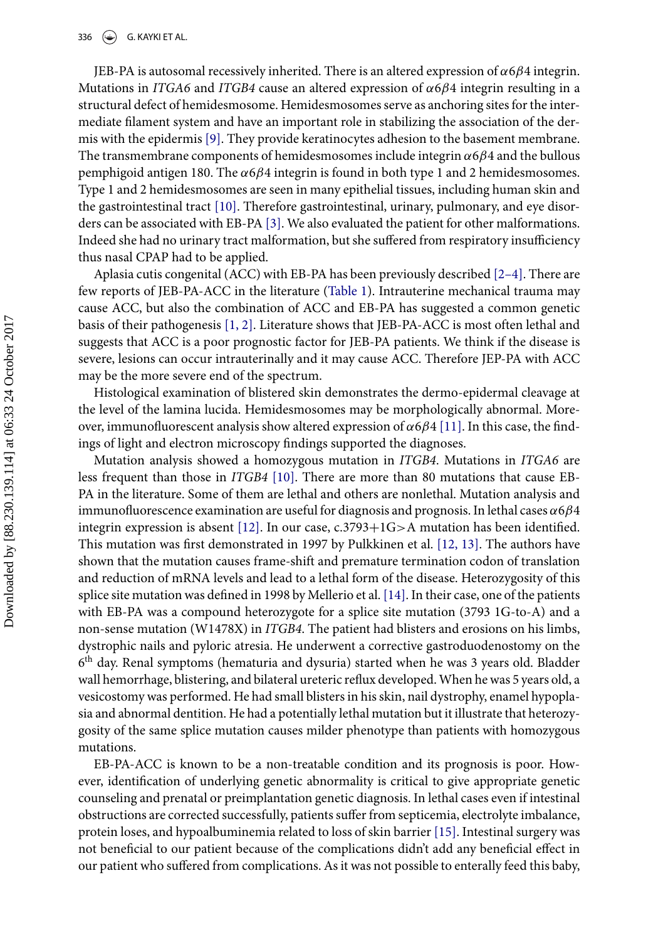336  $\left(\bigstar\right)$  G. KAYKI ET AL.

JEB-PA is autosomal recessively inherited. There is an altered expression of  $\alpha$ 6 $\beta$ 4 integrin. Mutations in *ITGA6* and *ITGB4* cause an altered expression of α6β4 integrin resulting in a structural defect of hemidesmosome. Hemidesmosomes serve as anchoring sites for the intermediate filament system and have an important role in stabilizing the association of the dermis with the epidermis [\[9\].](#page-7-5) They provide keratinocytes adhesion to the basement membrane. The transmembrane components of hemidesmosomes include integrin  $\alpha$ 6 $\beta$ 4 and the bullous pemphigoid antigen 180. The  $α6β4$  integrin is found in both type 1 and 2 hemidesmosomes. Type 1 and 2 hemidesmosomes are seen in many epithelial tissues, including human skin and the gastrointestinal tract [\[10\].](#page-7-6) Therefore gastrointestinal, urinary, pulmonary, and eye disorders can be associated with EB-PA [\[3\].](#page-7-4) We also evaluated the patient for other malformations. Indeed she had no urinary tract malformation, but she suffered from respiratory insufficiency thus nasal CPAP had to be applied.

Aplasia cutis congenital (ACC) with EB-PA has been previously described [\[2–4\].](#page-7-1) There are few reports of JEB-PA-ACC in the literature [\(Table 1\)](#page-6-0). Intrauterine mechanical trauma may cause ACC, but also the combination of ACC and EB-PA has suggested a common genetic basis of their pathogenesis [\[1, 2\].](#page-7-0) Literature shows that JEB-PA-ACC is most often lethal and suggests that ACC is a poor prognostic factor for JEB-PA patients. We think if the disease is severe, lesions can occur intrauterinally and it may cause ACC. Therefore JEP-PA with ACC may be the more severe end of the spectrum.

Histological examination of blistered skin demonstrates the dermo-epidermal cleavage at the level of the lamina lucida. Hemidesmosomes may be morphologically abnormal. Moreover, immunofluorescent analysis show altered expression of  $\alpha$ 6 $\beta$ 4 [\[11\].](#page-7-7) In this case, the findings of light and electron microscopy findings supported the diagnoses.

Mutation analysis showed a homozygous mutation in *ITGB4*. Mutations in *ITGA6* are less frequent than those in *ITGB4* [\[10\].](#page-7-6) There are more than 80 mutations that cause EB-PA in the literature. Some of them are lethal and others are nonlethal. Mutation analysis and immunofluorescence examination are useful for diagnosis and prognosis. In lethal cases  $\alpha 6\beta 4$ integrin expression is absent [\[12\].](#page-7-8) In our case, c.3793+1G>A mutation has been identified. This mutation was first demonstrated in 1997 by Pulkkinen et al. [\[12, 13\].](#page-7-8) The authors have shown that the mutation causes frame-shift and premature termination codon of translation and reduction of mRNA levels and lead to a lethal form of the disease. Heterozygosity of this splice site mutation was defined in 1998 by Mellerio et al.[\[14\].](#page-8-0) In their case, one of the patients with EB-PA was a compound heterozygote for a splice site mutation (3793 1G-to-A) and a non-sense mutation (W1478X) in *ITGB4*. The patient had blisters and erosions on his limbs, dystrophic nails and pyloric atresia. He underwent a corrective gastroduodenostomy on the 6th day. Renal symptoms (hematuria and dysuria) started when he was 3 years old. Bladder wall hemorrhage, blistering, and bilateral ureteric reflux developed.When he was 5 years old, a vesicostomy was performed. He had small blisters in his skin, nail dystrophy, enamel hypoplasia and abnormal dentition. He had a potentially lethal mutation but it illustrate that heterozygosity of the same splice mutation causes milder phenotype than patients with homozygous mutations.

EB-PA-ACC is known to be a non-treatable condition and its prognosis is poor. However, identification of underlying genetic abnormality is critical to give appropriate genetic counseling and prenatal or preimplantation genetic diagnosis. In lethal cases even if intestinal obstructions are corrected successfully, patients suffer from septicemia, electrolyte imbalance, protein loses, and hypoalbuminemia related to loss of skin barrier [\[15\].](#page-8-1) Intestinal surgery was not beneficial to our patient because of the complications didn't add any beneficial effect in our patient who suffered from complications. As it was not possible to enterally feed this baby,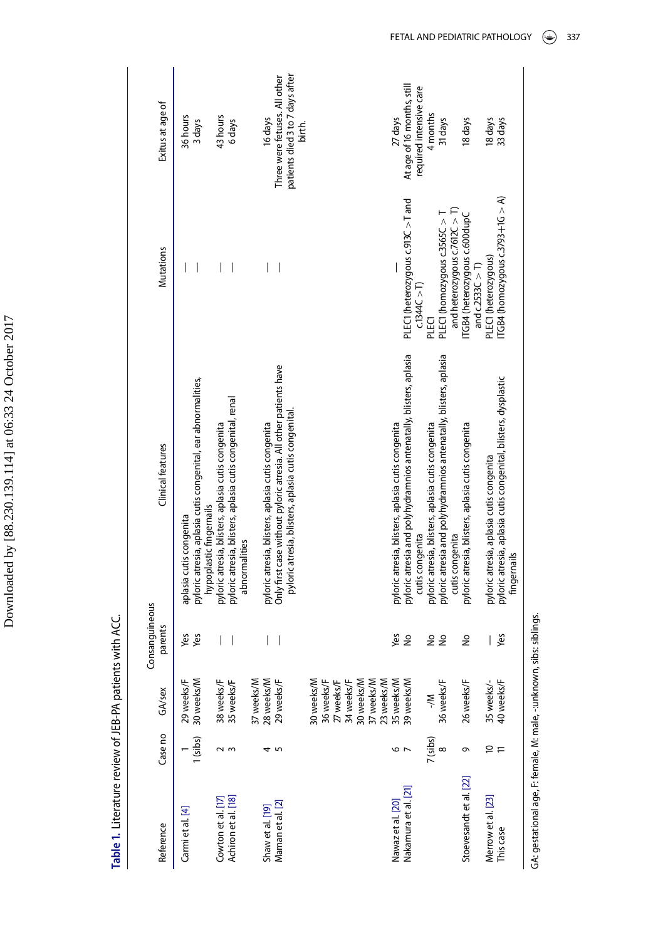| ı                        |
|--------------------------|
| ł                        |
|                          |
|                          |
| l                        |
| )                        |
|                          |
|                          |
| $\ddot{\phantom{0}}$     |
|                          |
| ı                        |
| ہ<br>با                  |
|                          |
|                          |
|                          |
|                          |
|                          |
| ١                        |
| ׇ֚֕֡                     |
| i                        |
|                          |
| ć                        |
|                          |
|                          |
|                          |
| $\tilde{\zeta}$          |
| $\overline{\phantom{a}}$ |
| ţ                        |
| Ï                        |
|                          |
|                          |
|                          |
| l                        |
|                          |
|                          |
|                          |
|                          |
|                          |
| ļ                        |
|                          |

<span id="page-6-0"></span>Table 1. Literature review of JEB-PA patients with ACC. **Table .** Literature review of JEB-PA patients with ACC.

|                | Exitus at age of  | 36 hours                | 3 days                                                                                   | 43 hours                                           | 6 days                                                                      |            | 16 days                                            | patients died 3 to 7 days after<br>Three were fetuses. All other                                                         | birth. |            |            |            |            |            |            |            | 27 days                                            | At age of 16 months, still                                        | required intensive care | 4 months                                           | 31 days                                                           |                                 | 18 days                                             | 18 days                                  | 33 days                                                                        |  |
|----------------|-------------------|-------------------------|------------------------------------------------------------------------------------------|----------------------------------------------------|-----------------------------------------------------------------------------|------------|----------------------------------------------------|--------------------------------------------------------------------------------------------------------------------------|--------|------------|------------|------------|------------|------------|------------|------------|----------------------------------------------------|-------------------------------------------------------------------|-------------------------|----------------------------------------------------|-------------------------------------------------------------------|---------------------------------|-----------------------------------------------------|------------------------------------------|--------------------------------------------------------------------------------|--|
|                | Mutations         |                         |                                                                                          |                                                    |                                                                             |            |                                                    |                                                                                                                          |        |            |            |            |            |            |            |            |                                                    | PLEC1 (heterozygous c.913C >T and                                 | c.1344C > T             | PLECT                                              | PLEC1 (homozygous c.3565C > T                                     | and heterozygous c.7612C $>$ T) | ITGB4 (heterozygous c.600dupC<br>and $c2533C > T$ ) | PLEC1 (heterozygous)                     | ITGB4 (homozygous c.3793+1G $> A$ )                                            |  |
|                | Clinical features | aplasia cutis congenita | pyloric atresia, aplasia cutis congenital, ear abnormalities,<br>hypoplastic fingernails | pyloric atresia, blisters, aplasia cutis congenita | pyloric atresia, blisters, aplasia cutis congenital, renal<br>abnormalities |            | pyloric atresia, blisters, aplasia cutis congenita | Only first case without pyloric atresia. All other patients have<br>pyloric atresia, blisters, aplasia cutis congenital. |        |            |            |            |            |            |            |            | pyloric atresia, blisters, aplasia cutis congenita | pyloric atresia and polyhydramnios antenatally, blisters, aplasia | cutis congenita         | pyloric atresia, blisters, aplasia cutis congenita | pyloric atresia and polyhydramnios antenatally, blisters, aplasia | cutis congenita                 | pyloric atresia, blisters, aplasia cutis congenita  | pyloric atresia, aplasia cutis congenita | pyloric atresia, aplasia cutis congenital, blisters, dysplastic<br>fingernails |  |
| Consanguineous | parents           | Yes                     | Yes                                                                                      |                                                    | I                                                                           |            |                                                    |                                                                                                                          |        |            |            |            |            |            |            |            | Yes                                                | $\frac{1}{2}$                                                     |                         | å                                                  | $\tilde{z}$                                                       |                                 | å                                                   |                                          | yes                                                                            |  |
|                | GA/sex            | 29 weeks/F              | 30 weeks/M                                                                               | 38 weeks/F<br>35 weeks/F                           |                                                                             | 37 weeks/M | 28 weeks/M                                         | 29 weeks/F                                                                                                               |        | 30 weeks/M | 36 weeks/F | 27 weeks/F | 34 weeks/F | 30 weeks/M | 37 weeks/M | 23 weeks/M | 35 weeks/M                                         | 39 weeks/M                                                        |                         | $\ge$                                              | 36 weeks/F                                                        |                                 | 26 weeks/F                                          |                                          | 35 weeks/-<br>40 weeks/F                                                       |  |
|                | Case no           |                         | 1(sibs)                                                                                  |                                                    |                                                                             |            |                                                    |                                                                                                                          |        |            |            |            |            |            |            |            | ص                                                  |                                                                   |                         | /(sibs)                                            |                                                                   |                                 | ᡡ                                                   | ₽                                        |                                                                                |  |
|                | Reference         | Carmi et al. [4]        |                                                                                          | Cowton et al. [17]                                 | Achiron et al. [18]                                                         |            | Shaw et al. [19]                                   | Maman et al. [2]                                                                                                         |        |            |            |            |            |            |            |            | Nawaz et al. [20]                                  | Nakamura et al. [21]                                              |                         |                                                    |                                                                   |                                 | Stoevesandt et al. [22]                             | Merrow et al. [23]                       | This case                                                                      |  |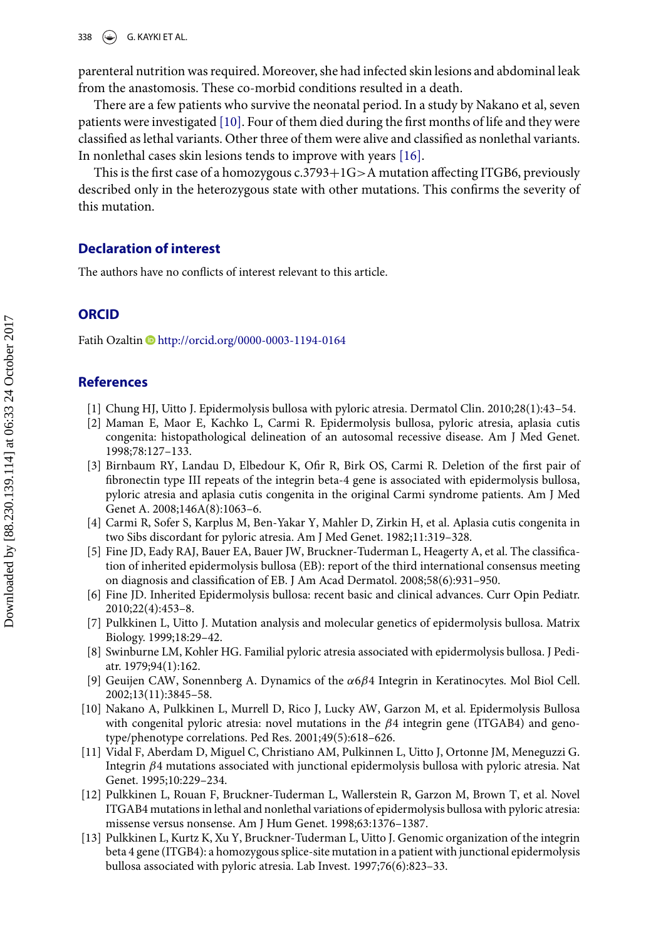parenteral nutrition was required. Moreover, she had infected skin lesions and abdominal leak from the anastomosis. These co-morbid conditions resulted in a death.

There are a few patients who survive the neonatal period. In a study by Nakano et al, seven patients were investigated [\[10\].](#page-7-6) Four of them died during the first months of life and they were classified as lethal variants. Other three of them were alive and classified as nonlethal variants. In nonlethal cases skin lesions tends to improve with years [\[16\].](#page-8-9)

This is the first case of a homozygous c.3793 $+1G>A$  mutation affecting ITGB6, previously described only in the heterozygous state with other mutations. This confirms the severity of this mutation.

### **Declaration of interest**

The authors have no conflicts of interest relevant to this article.

### **ORCID**

Fatih Ozaltin D<http://orcid.org/0000-0003-1194-0164>

#### **References**

- <span id="page-7-0"></span>[1] Chung HJ, Uitto J. Epidermolysis bullosa with pyloric atresia. Dermatol Clin. 2010;28(1):43–54.
- <span id="page-7-1"></span>[2] Maman E, Maor E, Kachko L, Carmi R. Epidermolysis bullosa, pyloric atresia, aplasia cutis congenita: histopathological delineation of an autosomal recessive disease. Am J Med Genet. 1998;78:127–133.
- <span id="page-7-4"></span>[3] Birnbaum RY, Landau D, Elbedour K, Ofir R, Birk OS, Carmi R. Deletion of the first pair of fibronectin type III repeats of the integrin beta-4 gene is associated with epidermolysis bullosa, pyloric atresia and aplasia cutis congenita in the original Carmi syndrome patients. Am J Med Genet A. 2008;146A(8):1063–6.
- <span id="page-7-9"></span>[4] Carmi R, Sofer S, Karplus M, Ben-Yakar Y, Mahler D, Zirkin H, et al. Aplasia cutis congenita in two Sibs discordant for pyloric atresia. Am J Med Genet. 1982;11:319–328.
- <span id="page-7-2"></span>[5] Fine JD, Eady RAJ, Bauer EA, Bauer JW, Bruckner-Tuderman L, Heagerty A, et al. The classification of inherited epidermolysis bullosa (EB): report of the third international consensus meeting on diagnosis and classification of EB. J Am Acad Dermatol. 2008;58(6):931–950.
- <span id="page-7-3"></span>[6] Fine JD. Inherited Epidermolysis bullosa: recent basic and clinical advances. Curr Opin Pediatr. 2010;22(4):453–8.
- [7] Pulkkinen L, Uitto J. Mutation analysis and molecular genetics of epidermolysis bullosa. Matrix Biology. 1999;18:29–42.
- [8] Swinburne LM, Kohler HG. Familial pyloric atresia associated with epidermolysis bullosa. J Pediatr. 1979;94(1):162.
- <span id="page-7-5"></span>[9] Geuijen CAW, Sonennberg A. Dynamics of the α6β4 Integrin in Keratinocytes. Mol Biol Cell. 2002;13(11):3845–58.
- <span id="page-7-6"></span>[10] Nakano A, Pulkkinen L, Murrell D, Rico J, Lucky AW, Garzon M, et al. Epidermolysis Bullosa with congenital pyloric atresia: novel mutations in the  $\beta$ 4 integrin gene (ITGAB4) and genotype/phenotype correlations. Ped Res. 2001;49(5):618–626.
- <span id="page-7-7"></span>[11] Vidal F, Aberdam D, Miguel C, Christiano AM, Pulkinnen L, Uitto J, Ortonne JM, Meneguzzi G. Integrin β4 mutations associated with junctional epidermolysis bullosa with pyloric atresia. Nat Genet. 1995;10:229–234.
- <span id="page-7-8"></span>[12] Pulkkinen L, Rouan F, Bruckner-Tuderman L, Wallerstein R, Garzon M, Brown T, et al. Novel ITGAB4 mutations in lethal and nonlethal variations of epidermolysis bullosa with pyloric atresia: missense versus nonsense. Am J Hum Genet. 1998;63:1376–1387.
- [13] Pulkkinen L, Kurtz K, Xu Y, Bruckner-Tuderman L, Uitto J. Genomic organization of the integrin beta 4 gene (ITGB4): a homozygous splice-site mutation in a patient with junctional epidermolysis bullosa associated with pyloric atresia. Lab Invest. 1997;76(6):823–33.